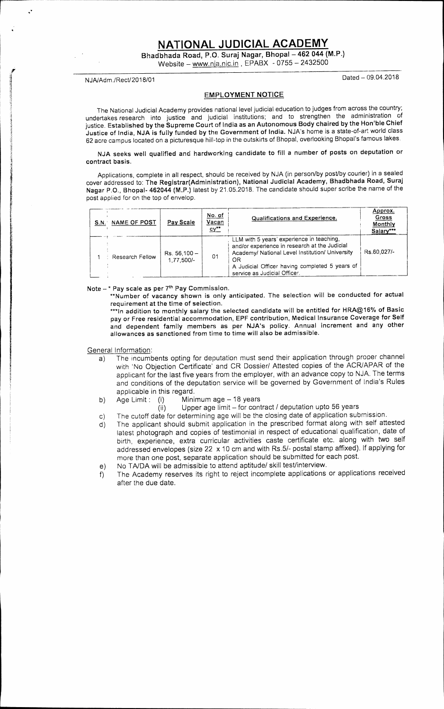**NATIONAL JUDICIAL ACADEMY** 

**Bhadbhada Road, P.O. Suraj Nagar, Bhopal — 462 044 (M.P.)** 

Website — www.nia.nic.in , EPABX - 0755 — 2432500

NJA/Adm./Rect/2018/01 Dated — 09.04.2018

### **EMPLOYMENT NOTICE**

The National Judicial Academy provides national level judicial education to judges from across the country; undertakes research into justice and judicial institutions; and to strengthen the administration of justice. **Established by the Supreme Court** of **India as an Autonomous Body chaired by the Hon'ble Chief Justice of** India, **NJA is fully funded by** the Government of India. NJA's home is a state-of-art world class 62 acre campus located on a picturesque hill-top in the outskirts of Bhopal, overlooking Bhopal's famous lakes.

**NJA seeks well qualified and hardworking candidate to fill a number of posts on deputation or contract basis.** 

Applications, complete in all respect, should be received by NJA (in person/by post/by courier) in a sealed cover addressed to: **The Registrar(Administration), National Judicial Academy, Bhadbhada Road, Suraj Nagar P.O., Bhopal- 462044 (M.P.)** latest by 21.05.2018. The candidate should super scribe the name of the post applied for on the top of envelop.

| S.N. NAME OF POST | Pay Scale                      | No. of<br>Vacan<br>$cy**$ | Qualifications and Experience.                                                                                                                                                                                                        | Approx.<br>Gross<br>Monthly<br>Salary*** |
|-------------------|--------------------------------|---------------------------|---------------------------------------------------------------------------------------------------------------------------------------------------------------------------------------------------------------------------------------|------------------------------------------|
| Research Fellow   | $Rs. 56,100 -$<br>$1.77.500/-$ | 01                        | LLM with 5 years' experience in teaching,<br>and/or experience in research at the Judicial<br>Academy/ National Level Institution/ University<br>OR<br>A Judicial Officer having completed 5 years of<br>service as Judicial Officer. | Rs.60.027/-                              |

Note – \* Pay scale as per 7<sup>th</sup> Pay Commission.

**\*"Number of vacancy shown is only anticipated. The selection will be conducted for actual requirement at the time of selection.** 

**\*\*\*In addition to monthly salary the selected candidate will be entitled for HRA@16% of Basic pay or Free residential accommodation, EPF contribution, Medical Insurance Coverage for Self and dependent family members as per NJA's policy. Annual increment and any other allowances as sanctioned from time to time will also be admissible.** 

General Information:

- a) The incumbents opting for deputation must send their application through proper channel with 'No Objection Certificate' and CR Dossier/ Attested copies of the ACR/APAR of the applicant for the last five years from the employer, with an advance copy to NJA. The terms and conditions of the deputation service will be governed by Government of India's Rules applicable in this regard.
- b) Age Limit: (i) Minimum age 18 years
	-
	- (ii) Upper age limit for contract / deputation upto 56 years
- c) The cutoff date for determining age will be the closing date of application submission.
- d) The applicant should submit application in the prescribed format along with self attested latest photograph and copies of testimonial in respect of educational qualification, date of birth, experience, extra curricular activities caste certificate etc. along with two self addressed envelopes (size 22 x 10 cm and with Rs.5/- postal stamp affixed). If applying for more than one post, separate application should be submitted for each post.
- e) No TA/DA will be admissible to attend aptitude/ skill test/interview.
- f) The Academy reserves its right to reject incomplete applications or applications received after the due date.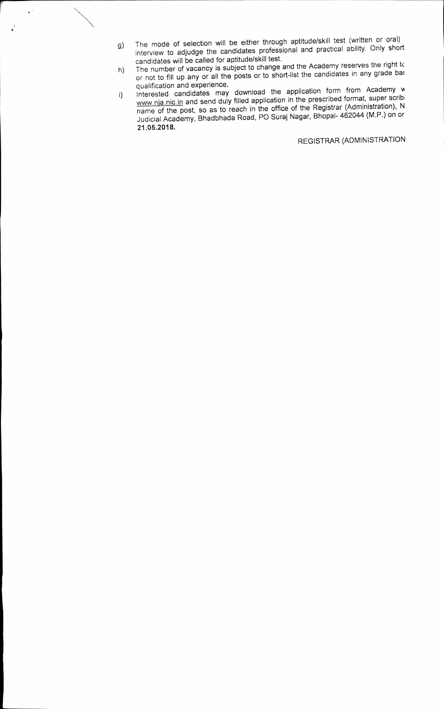g) The mode of selection will be either through aptitude/skill test (written or oral) interview to adjudge the candidates professional and practical ability. Only short candidates will be called for aptitude/skill test.

 $\downarrow$  :

 $\ddot{\cdot}$ 

- h) The number of vacancy is subject to change and the Academy reserves the right tc<br>the number of vacancy is subject to change and the Academy reserves the right tc or not to fill up any or all the posts or to short-list the candidates in any grade base qualification and experience.
- 1) Interested candidates may download the application form from Academy w www.nja.nic.in and send duly filled application in the prescribed format, super scribi name of the post, so as to reach in the office of the Registrar (Administration), N Judicial Academy, Bhadbhada Road, PO Suraj Nagar, Bhopal- 462044 (M.P.) on or **21.05.2018.**

REGISTRAR (ADMINISTRATION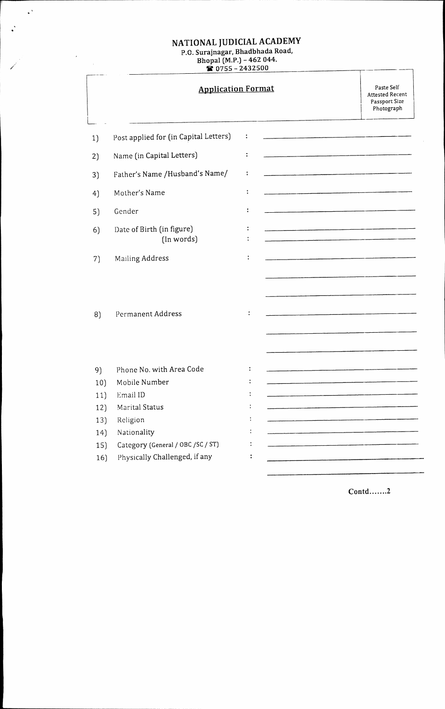## **NATIONAL JUDICIAL ACADEMY**  P.O. **Surajnagar, Bhadbhada Road,**

 $\mathbb{R}^3$ 

 $\mathcal{A}^{\mathcal{A}}$ 

 $\ddot{\cdot}$ 

### **Bhopal (M.P.) - 462 044. IC 0755 2432500**

|     | <b>Application Format</b>               |                      |                                                                                                                 | Paste Self<br><b>Attested Recent</b><br>Passport Size<br>Photograph |
|-----|-----------------------------------------|----------------------|-----------------------------------------------------------------------------------------------------------------|---------------------------------------------------------------------|
| 1)  | Post applied for (in Capital Letters)   | ÷                    |                                                                                                                 |                                                                     |
| 2)  | Name (in Capital Letters)               | $\ddot{\phantom{a}}$ |                                                                                                                 |                                                                     |
| 3)  | Father's Name / Husband's Name/         | $\ddot{\cdot}$       |                                                                                                                 |                                                                     |
| 4)  | Mother's Name                           | ÷                    |                                                                                                                 |                                                                     |
| 5)  | Gender                                  | ÷                    |                                                                                                                 |                                                                     |
| 6)  | Date of Birth (in figure)<br>(In words) | $\ddot{\cdot}$       | an and the company's property for the company's series of the company's company's series of the company's compa |                                                                     |
| 7)  | Mailing Address                         |                      |                                                                                                                 |                                                                     |
| 8)  | Permanent Address                       | $\ddot{\cdot}$       |                                                                                                                 |                                                                     |
| 9)  | Phone No. with Area Code                | ÷                    |                                                                                                                 |                                                                     |
| 10) | Mobile Number                           |                      |                                                                                                                 |                                                                     |
| 11) | Email ID                                |                      |                                                                                                                 |                                                                     |
| 12) | Marital Status                          |                      |                                                                                                                 |                                                                     |
| 13) | Religion                                |                      |                                                                                                                 |                                                                     |
| 14) | Nationality                             |                      |                                                                                                                 |                                                                     |
| 15) | Category (General / OBC / SC / ST)      |                      |                                                                                                                 |                                                                     |
| 16) | Physically Challenged, if any           |                      |                                                                                                                 |                                                                     |

**Contd.......2** 

1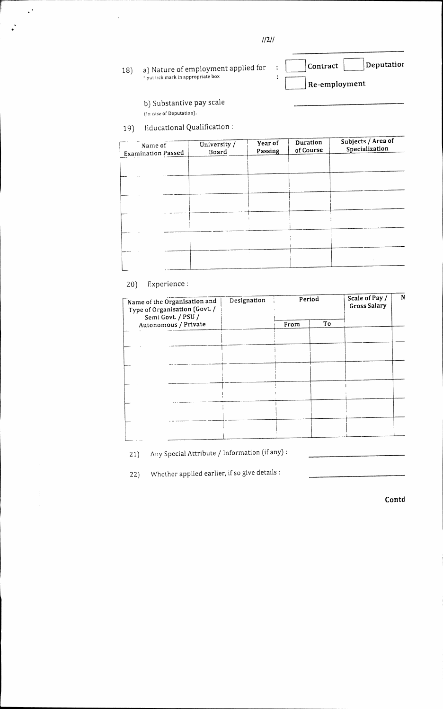**//2//** 

 $\ddot{\phantom{a}}$  $\ddot{\cdot}$ 

# 18) a) Nature of employment applied for<br>contrick mark in appropriate box

Contract **Deputation Re-employment** 

b) Substantive pay scale

(In case of Deputation).

 $\mathcal{L}^{\frac{1}{2}}$ 

19) Educational Qualification:

| Name of<br><b>Examination Passed</b> | University /<br>Board | Year of<br>Passing | Duration<br>of Course | Subjects / Area of<br>Specialization |
|--------------------------------------|-----------------------|--------------------|-----------------------|--------------------------------------|
|                                      |                       |                    |                       |                                      |
|                                      |                       |                    |                       |                                      |
|                                      |                       |                    |                       |                                      |
|                                      |                       |                    |                       |                                      |
|                                      |                       |                    |                       |                                      |
|                                      |                       |                    |                       |                                      |
|                                      |                       |                    |                       |                                      |

## 20) Experience:

| Name of the Organisation and<br>Type of Organisation (Govt. /<br>Semi Govt. / PSU / | Designation | Period |    | Scale of Pay /<br><b>Gross Salary</b> | N |
|-------------------------------------------------------------------------------------|-------------|--------|----|---------------------------------------|---|
| Autonomous / Private                                                                |             | From   | To |                                       |   |
|                                                                                     |             |        |    |                                       |   |
|                                                                                     |             |        |    |                                       |   |
|                                                                                     |             |        |    |                                       |   |
|                                                                                     |             |        |    |                                       |   |
|                                                                                     |             |        |    |                                       |   |
|                                                                                     |             |        |    |                                       |   |
|                                                                                     |             |        |    |                                       |   |
|                                                                                     |             |        |    |                                       |   |
|                                                                                     |             |        |    |                                       |   |

21) Any Special Attribute / Information (if any) :

22) Whether applied earlier, if so give details:

**Contd**